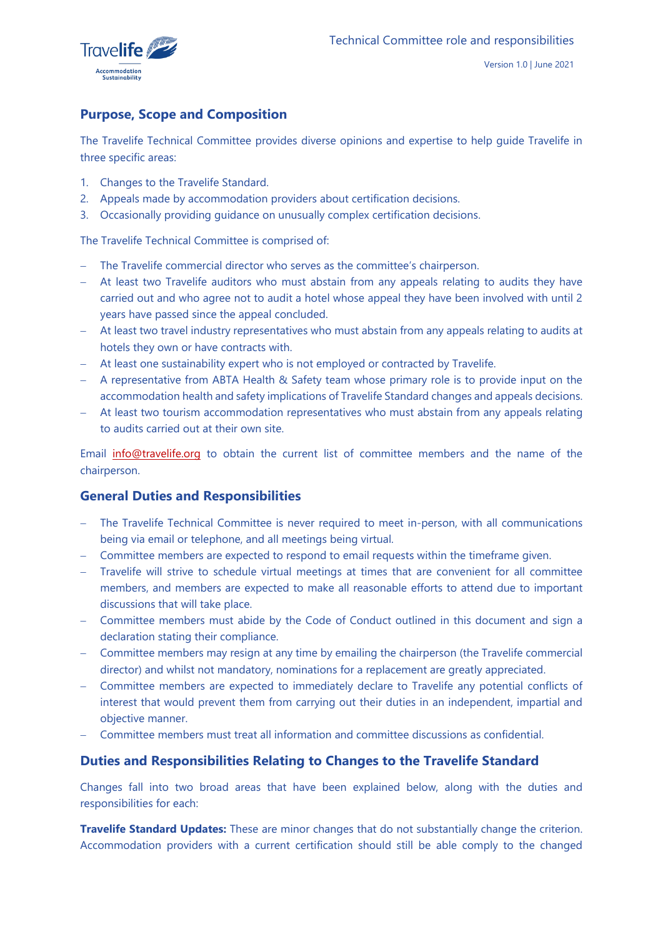

# **Purpose, Scope and Composition**

The Travelife Technical Committee provides diverse opinions and expertise to help guide Travelife in three specific areas:

- 1. Changes to the Travelife Standard.
- 2. Appeals made by accommodation providers about certification decisions.
- 3. Occasionally providing guidance on unusually complex certification decisions.

The Travelife Technical Committee is comprised of:

- − The Travelife commercial director who serves as the committee's chairperson.
- − At least two Travelife auditors who must abstain from any appeals relating to audits they have carried out and who agree not to audit a hotel whose appeal they have been involved with until 2 years have passed since the appeal concluded.
- − At least two travel industry representatives who must abstain from any appeals relating to audits at hotels they own or have contracts with.
- − At least one sustainability expert who is not employed or contracted by Travelife.
- − A representative from ABTA Health & Safety team whose primary role is to provide input on the accommodation health and safety implications of Travelife Standard changes and appeals decisions.
- − At least two tourism accommodation representatives who must abstain from any appeals relating to audits carried out at their own site.

Email [info@travelife.org](mailto:info@travelife.org) to obtain the current list of committee members and the name of the chairperson.

## **General Duties and Responsibilities**

- The Travelife Technical Committee is never required to meet in-person, with all communications being via email or telephone, and all meetings being virtual.
- − Committee members are expected to respond to email requests within the timeframe given.
- − Travelife will strive to schedule virtual meetings at times that are convenient for all committee members, and members are expected to make all reasonable efforts to attend due to important discussions that will take place.
- − Committee members must abide by the Code of Conduct outlined in this document and sign a declaration stating their compliance.
- − Committee members may resign at any time by emailing the chairperson (the Travelife commercial director) and whilst not mandatory, nominations for a replacement are greatly appreciated.
- − Committee members are expected to immediately declare to Travelife any potential conflicts of interest that would prevent them from carrying out their duties in an independent, impartial and objective manner.
- − Committee members must treat all information and committee discussions as confidential.

## **Duties and Responsibilities Relating to Changes to the Travelife Standard**

Changes fall into two broad areas that have been explained below, along with the duties and responsibilities for each:

**Travelife Standard Updates:** These are minor changes that do not substantially change the criterion. Accommodation providers with a current certification should still be able comply to the changed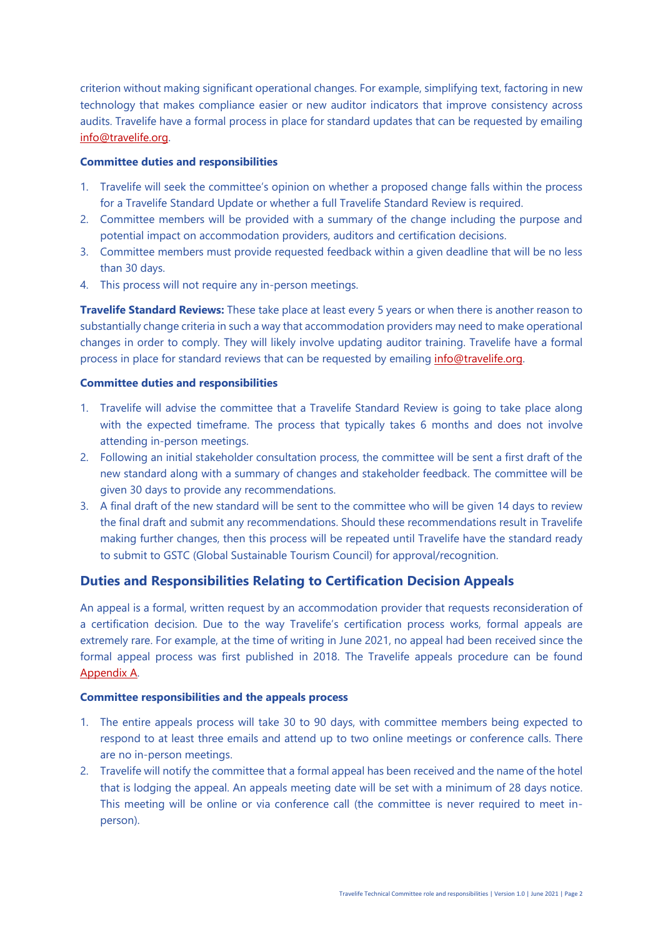criterion without making significant operational changes. For example, simplifying text, factoring in new technology that makes compliance easier or new auditor indicators that improve consistency across audits. Travelife have a formal process in place for standard updates that can be requested by emailing [info@travelife.org.](mailto:info@travelife.org)

#### **Committee duties and responsibilities**

- 1. Travelife will seek the committee's opinion on whether a proposed change falls within the process for a Travelife Standard Update or whether a full Travelife Standard Review is required.
- 2. Committee members will be provided with a summary of the change including the purpose and potential impact on accommodation providers, auditors and certification decisions.
- 3. Committee members must provide requested feedback within a given deadline that will be no less than 30 days.
- 4. This process will not require any in-person meetings.

**Travelife Standard Reviews:** These take place at least every 5 years or when there is another reason to substantially change criteria in such a way that accommodation providers may need to make operational changes in order to comply. They will likely involve updating auditor training. Travelife have a formal process in place for standard reviews that can be requested by emailing *info@travelife.org*.

#### **Committee duties and responsibilities**

- 1. Travelife will advise the committee that a Travelife Standard Review is going to take place along with the expected timeframe. The process that typically takes 6 months and does not involve attending in-person meetings.
- 2. Following an initial stakeholder consultation process, the committee will be sent a first draft of the new standard along with a summary of changes and stakeholder feedback. The committee will be given 30 days to provide any recommendations.
- 3. A final draft of the new standard will be sent to the committee who will be given 14 days to review the final draft and submit any recommendations. Should these recommendations result in Travelife making further changes, then this process will be repeated until Travelife have the standard ready to submit to GSTC (Global Sustainable Tourism Council) for approval/recognition.

## **Duties and Responsibilities Relating to Certification Decision Appeals**

An appeal is a formal, written request by an accommodation provider that requests reconsideration of a certification decision. Due to the way Travelife's certification process works, formal appeals are extremely rare. For example, at the time of writing in June 2021, no appeal had been received since the formal appeal process was first published in 2018. The Travelife appeals procedure can be found [Appendix A.](#page-4-0)

#### **Committee responsibilities and the appeals process**

- 1. The entire appeals process will take 30 to 90 days, with committee members being expected to respond to at least three emails and attend up to two online meetings or conference calls. There are no in-person meetings.
- 2. Travelife will notify the committee that a formal appeal has been received and the name of the hotel that is lodging the appeal. An appeals meeting date will be set with a minimum of 28 days notice. This meeting will be online or via conference call (the committee is never required to meet inperson).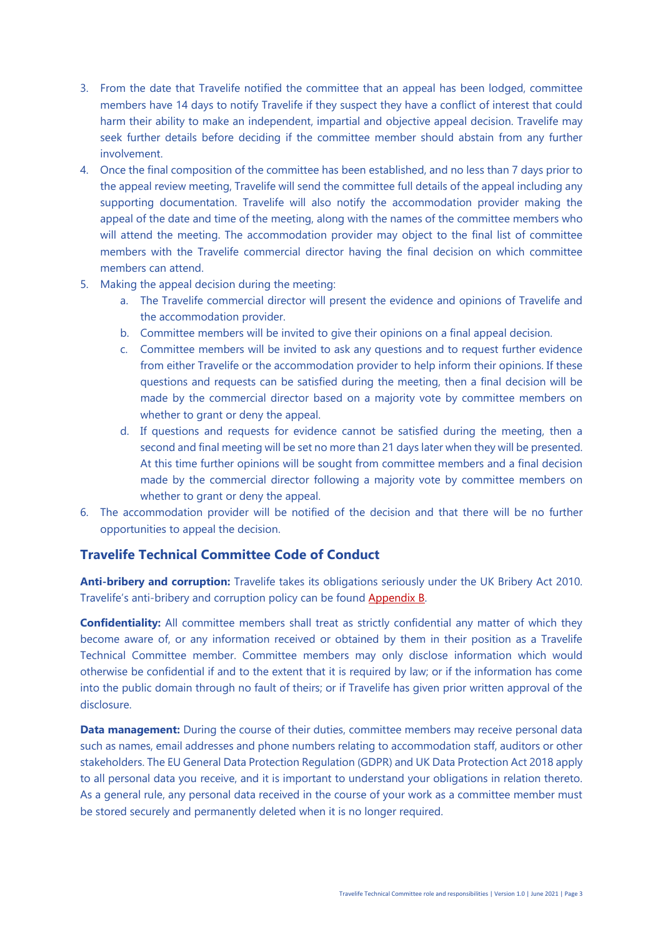- 3. From the date that Travelife notified the committee that an appeal has been lodged, committee members have 14 days to notify Travelife if they suspect they have a conflict of interest that could harm their ability to make an independent, impartial and objective appeal decision. Travelife may seek further details before deciding if the committee member should abstain from any further involvement.
- 4. Once the final composition of the committee has been established, and no less than 7 days prior to the appeal review meeting, Travelife will send the committee full details of the appeal including any supporting documentation. Travelife will also notify the accommodation provider making the appeal of the date and time of the meeting, along with the names of the committee members who will attend the meeting. The accommodation provider may object to the final list of committee members with the Travelife commercial director having the final decision on which committee members can attend.
- 5. Making the appeal decision during the meeting:
	- a. The Travelife commercial director will present the evidence and opinions of Travelife and the accommodation provider.
	- b. Committee members will be invited to give their opinions on a final appeal decision.
	- c. Committee members will be invited to ask any questions and to request further evidence from either Travelife or the accommodation provider to help inform their opinions. If these questions and requests can be satisfied during the meeting, then a final decision will be made by the commercial director based on a majority vote by committee members on whether to grant or deny the appeal.
	- d. If questions and requests for evidence cannot be satisfied during the meeting, then a second and final meeting will be set no more than 21 days later when they will be presented. At this time further opinions will be sought from committee members and a final decision made by the commercial director following a majority vote by committee members on whether to grant or deny the appeal.
- 6. The accommodation provider will be notified of the decision and that there will be no further opportunities to appeal the decision.

## **Travelife Technical Committee Code of Conduct**

**Anti-bribery and corruption:** Travelife takes its obligations seriously under the UK Bribery Act 2010. Travelife's anti-bribery and corruption policy can be found [Appendix B.](#page-6-0)

**Confidentiality:** All committee members shall treat as strictly confidential any matter of which they become aware of, or any information received or obtained by them in their position as a Travelife Technical Committee member. Committee members may only disclose information which would otherwise be confidential if and to the extent that it is required by law; or if the information has come into the public domain through no fault of theirs; or if Travelife has given prior written approval of the disclosure.

**Data management:** During the course of their duties, committee members may receive personal data such as names, email addresses and phone numbers relating to accommodation staff, auditors or other stakeholders. The EU General Data Protection Regulation (GDPR) and UK Data Protection Act 2018 apply to all personal data you receive, and it is important to understand your obligations in relation thereto. As a general rule, any personal data received in the course of your work as a committee member must be stored securely and permanently deleted when it is no longer required.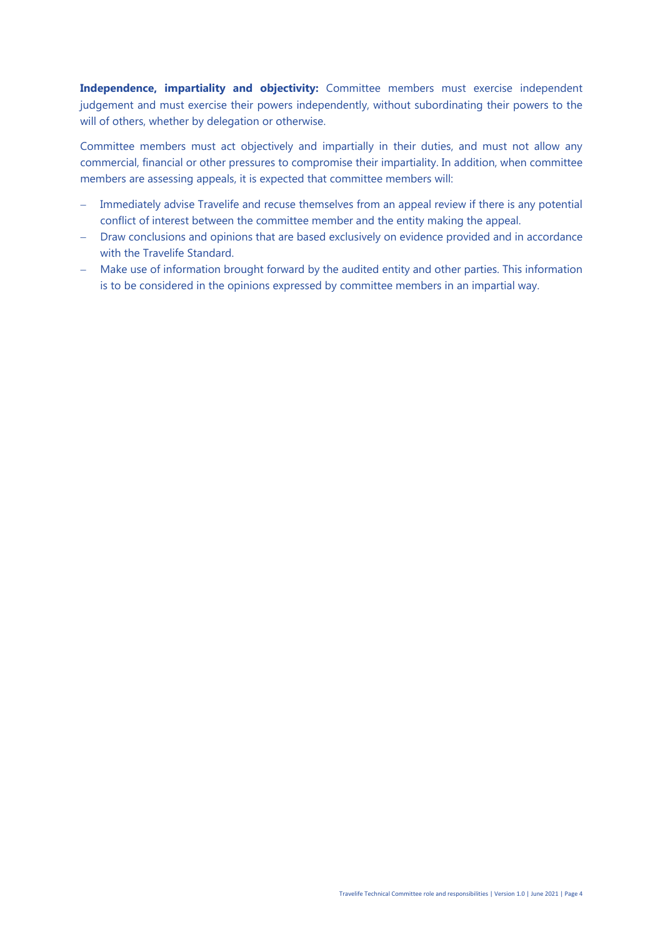**Independence, impartiality and objectivity:** Committee members must exercise independent judgement and must exercise their powers independently, without subordinating their powers to the will of others, whether by delegation or otherwise.

Committee members must act objectively and impartially in their duties, and must not allow any commercial, financial or other pressures to compromise their impartiality. In addition, when committee members are assessing appeals, it is expected that committee members will:

- − Immediately advise Travelife and recuse themselves from an appeal review if there is any potential conflict of interest between the committee member and the entity making the appeal.
- − Draw conclusions and opinions that are based exclusively on evidence provided and in accordance with the Travelife Standard.
- − Make use of information brought forward by the audited entity and other parties. This information is to be considered in the opinions expressed by committee members in an impartial way.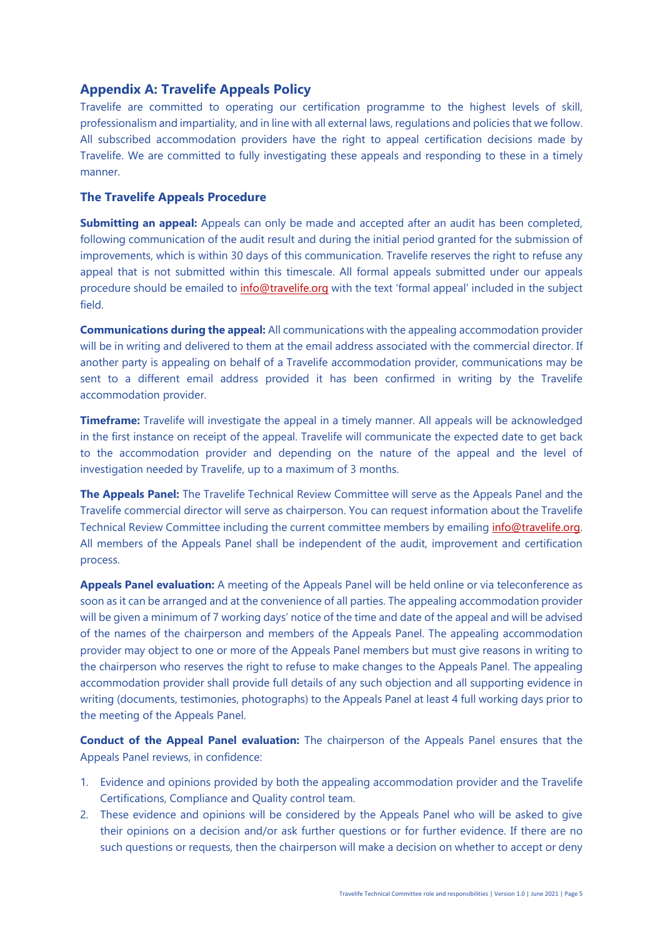## <span id="page-4-0"></span>**Appendix A: Travelife Appeals Policy**

Travelife are committed to operating our certification programme to the highest levels of skill, professionalism and impartiality, and in line with all external laws, regulations and policies that we follow. All subscribed accommodation providers have the right to appeal certification decisions made by Travelife. We are committed to fully investigating these appeals and responding to these in a timely manner.

### **The Travelife Appeals Procedure**

**Submitting an appeal:** Appeals can only be made and accepted after an audit has been completed, following communication of the audit result and during the initial period granted for the submission of improvements, which is within 30 days of this communication. Travelife reserves the right to refuse any appeal that is not submitted within this timescale. All formal appeals submitted under our appeals procedure should be emailed to [info@travelife.org](mailto:info@travelife.org) with the text 'formal appeal' included in the subject field.

**Communications during the appeal:** All communications with the appealing accommodation provider will be in writing and delivered to them at the email address associated with the commercial director. If another party is appealing on behalf of a Travelife accommodation provider, communications may be sent to a different email address provided it has been confirmed in writing by the Travelife accommodation provider.

**Timeframe:** Travelife will investigate the appeal in a timely manner. All appeals will be acknowledged in the first instance on receipt of the appeal. Travelife will communicate the expected date to get back to the accommodation provider and depending on the nature of the appeal and the level of investigation needed by Travelife, up to a maximum of 3 months.

**The Appeals Panel:** The Travelife Technical Review Committee will serve as the Appeals Panel and the Travelife commercial director will serve as chairperson. You can request information about the Travelife Technical Review Committee including the current committee members by emailing [info@travelife.org.](mailto:info@travelife.org) All members of the Appeals Panel shall be independent of the audit, improvement and certification process.

**Appeals Panel evaluation:** A meeting of the Appeals Panel will be held online or via teleconference as soon as it can be arranged and at the convenience of all parties. The appealing accommodation provider will be given a minimum of 7 working days' notice of the time and date of the appeal and will be advised of the names of the chairperson and members of the Appeals Panel. The appealing accommodation provider may object to one or more of the Appeals Panel members but must give reasons in writing to the chairperson who reserves the right to refuse to make changes to the Appeals Panel. The appealing accommodation provider shall provide full details of any such objection and all supporting evidence in writing (documents, testimonies, photographs) to the Appeals Panel at least 4 full working days prior to the meeting of the Appeals Panel.

**Conduct of the Appeal Panel evaluation:** The chairperson of the Appeals Panel ensures that the Appeals Panel reviews, in confidence:

- 1. Evidence and opinions provided by both the appealing accommodation provider and the Travelife Certifications, Compliance and Quality control team.
- 2. These evidence and opinions will be considered by the Appeals Panel who will be asked to give their opinions on a decision and/or ask further questions or for further evidence. If there are no such questions or requests, then the chairperson will make a decision on whether to accept or deny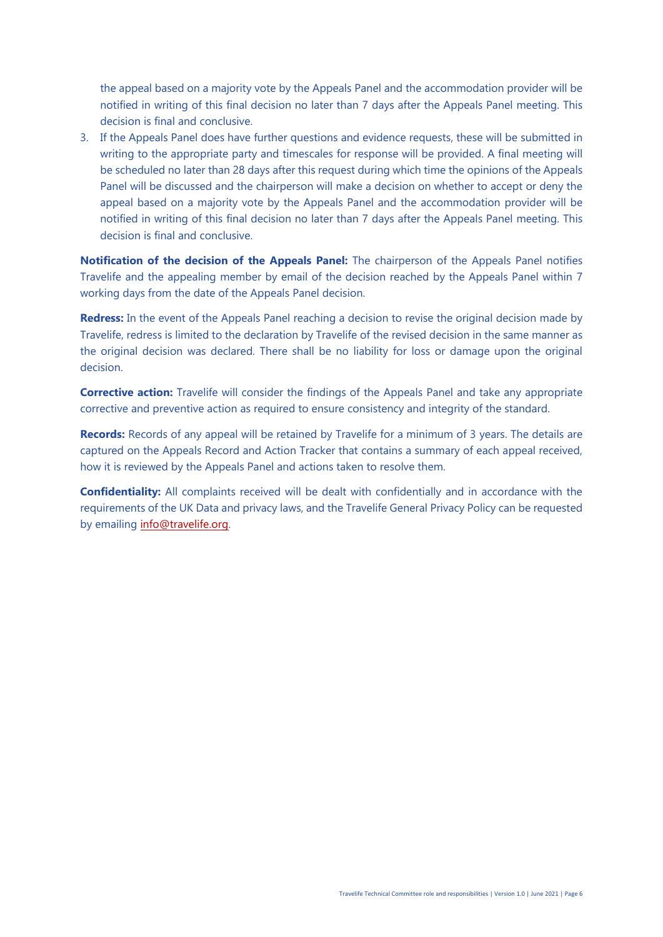the appeal based on a majority vote by the Appeals Panel and the accommodation provider will be notified in writing of this final decision no later than 7 days after the Appeals Panel meeting. This decision is final and conclusive.

3. If the Appeals Panel does have further questions and evidence requests, these will be submitted in writing to the appropriate party and timescales for response will be provided. A final meeting will be scheduled no later than 28 days after this request during which time the opinions of the Appeals Panel will be discussed and the chairperson will make a decision on whether to accept or deny the appeal based on a majority vote by the Appeals Panel and the accommodation provider will be notified in writing of this final decision no later than 7 days after the Appeals Panel meeting. This decision is final and conclusive.

**Notification of the decision of the Appeals Panel:** The chairperson of the Appeals Panel notifies Travelife and the appealing member by email of the decision reached by the Appeals Panel within 7 working days from the date of the Appeals Panel decision.

**Redress:** In the event of the Appeals Panel reaching a decision to revise the original decision made by Travelife, redress is limited to the declaration by Travelife of the revised decision in the same manner as the original decision was declared. There shall be no liability for loss or damage upon the original decision.

**Corrective action:** Travelife will consider the findings of the Appeals Panel and take any appropriate corrective and preventive action as required to ensure consistency and integrity of the standard.

**Records:** Records of any appeal will be retained by Travelife for a minimum of 3 years. The details are captured on the Appeals Record and Action Tracker that contains a summary of each appeal received, how it is reviewed by the Appeals Panel and actions taken to resolve them.

**Confidentiality:** All complaints received will be dealt with confidentially and in accordance with the requirements of the UK Data and privacy laws, and the Travelife General Privacy Policy can be requested by emailing [info@travelife.org.](mailto:info@travelife.org)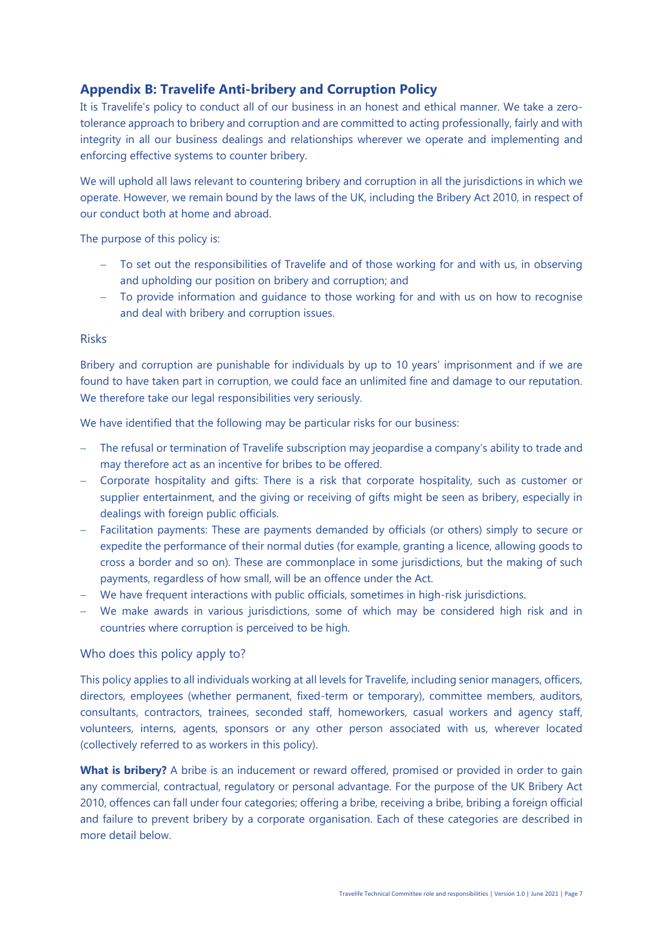## <span id="page-6-0"></span>**Appendix B: Travelife Anti-bribery and Corruption Policy**

It is Travelife's policy to conduct all of our business in an honest and ethical manner. We take a zerotolerance approach to bribery and corruption and are committed to acting professionally, fairly and with integrity in all our business dealings and relationships wherever we operate and implementing and enforcing effective systems to counter bribery.

We will uphold all laws relevant to countering bribery and corruption in all the jurisdictions in which we operate. However, we remain bound by the laws of the UK, including the Bribery Act 2010, in respect of our conduct both at home and abroad.

The purpose of this policy is:

- − To set out the responsibilities of Travelife and of those working for and with us, in observing and upholding our position on bribery and corruption; and
- − To provide information and guidance to those working for and with us on how to recognise and deal with bribery and corruption issues.

#### Risks

Bribery and corruption are punishable for individuals by up to 10 years' imprisonment and if we are found to have taken part in corruption, we could face an unlimited fine and damage to our reputation. We therefore take our legal responsibilities very seriously.

We have identified that the following may be particular risks for our business:

- The refusal or termination of Travelife subscription may jeopardise a company's ability to trade and may therefore act as an incentive for bribes to be offered.
- − Corporate hospitality and gifts: There is a risk that corporate hospitality, such as customer or supplier entertainment, and the giving or receiving of gifts might be seen as bribery, especially in dealings with foreign public officials.
- − Facilitation payments: These are payments demanded by officials (or others) simply to secure or expedite the performance of their normal duties (for example, granting a licence, allowing goods to cross a border and so on). These are commonplace in some jurisdictions, but the making of such payments, regardless of how small, will be an offence under the Act.
- − We have frequent interactions with public officials, sometimes in high-risk jurisdictions.
- − We make awards in various jurisdictions, some of which may be considered high risk and in countries where corruption is perceived to be high.

### Who does this policy apply to?

This policy applies to all individuals working at all levels for Travelife, including senior managers, officers, directors, employees (whether permanent, fixed-term or temporary), committee members, auditors, consultants, contractors, trainees, seconded staff, homeworkers, casual workers and agency staff, volunteers, interns, agents, sponsors or any other person associated with us, wherever located (collectively referred to as workers in this policy).

What is bribery? A bribe is an inducement or reward offered, promised or provided in order to gain any commercial, contractual, regulatory or personal advantage. For the purpose of the UK Bribery Act 2010, offences can fall under four categories; offering a bribe, receiving a bribe, bribing a foreign official and failure to prevent bribery by a corporate organisation. Each of these categories are described in more detail below.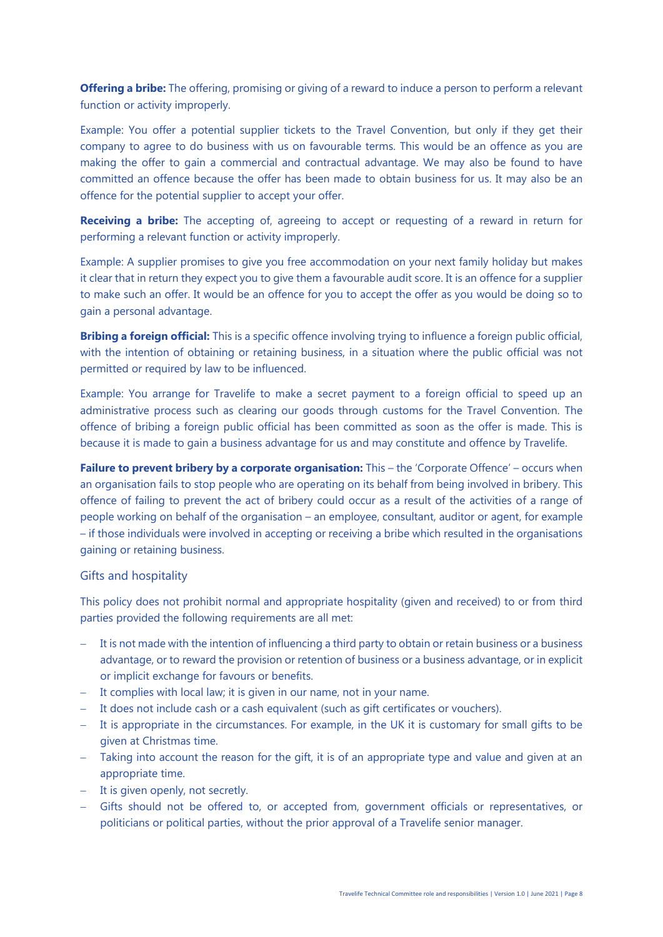**Offering a bribe:** The offering, promising or giving of a reward to induce a person to perform a relevant function or activity improperly.

Example: You offer a potential supplier tickets to the Travel Convention, but only if they get their company to agree to do business with us on favourable terms. This would be an offence as you are making the offer to gain a commercial and contractual advantage. We may also be found to have committed an offence because the offer has been made to obtain business for us. It may also be an offence for the potential supplier to accept your offer.

**Receiving a bribe:** The accepting of, agreeing to accept or requesting of a reward in return for performing a relevant function or activity improperly.

Example: A supplier promises to give you free accommodation on your next family holiday but makes it clear that in return they expect you to give them a favourable audit score. It is an offence for a supplier to make such an offer. It would be an offence for you to accept the offer as you would be doing so to gain a personal advantage.

**Bribing a foreign official:** This is a specific offence involving trying to influence a foreign public official, with the intention of obtaining or retaining business, in a situation where the public official was not permitted or required by law to be influenced.

Example: You arrange for Travelife to make a secret payment to a foreign official to speed up an administrative process such as clearing our goods through customs for the Travel Convention. The offence of bribing a foreign public official has been committed as soon as the offer is made. This is because it is made to gain a business advantage for us and may constitute and offence by Travelife.

**Failure to prevent bribery by a corporate organisation:** This – the 'Corporate Offence' – occurs when an organisation fails to stop people who are operating on its behalf from being involved in bribery. This offence of failing to prevent the act of bribery could occur as a result of the activities of a range of people working on behalf of the organisation – an employee, consultant, auditor or agent, for example – if those individuals were involved in accepting or receiving a bribe which resulted in the organisations gaining or retaining business.

#### Gifts and hospitality

This policy does not prohibit normal and appropriate hospitality (given and received) to or from third parties provided the following requirements are all met:

- − It is not made with the intention of influencing a third party to obtain or retain business or a business advantage, or to reward the provision or retention of business or a business advantage, or in explicit or implicit exchange for favours or benefits.
- − It complies with local law; it is given in our name, not in your name.
- − It does not include cash or a cash equivalent (such as gift certificates or vouchers).
- − It is appropriate in the circumstances. For example, in the UK it is customary for small gifts to be given at Christmas time.
- − Taking into account the reason for the gift, it is of an appropriate type and value and given at an appropriate time.
- − It is given openly, not secretly.
- − Gifts should not be offered to, or accepted from, government officials or representatives, or politicians or political parties, without the prior approval of a Travelife senior manager.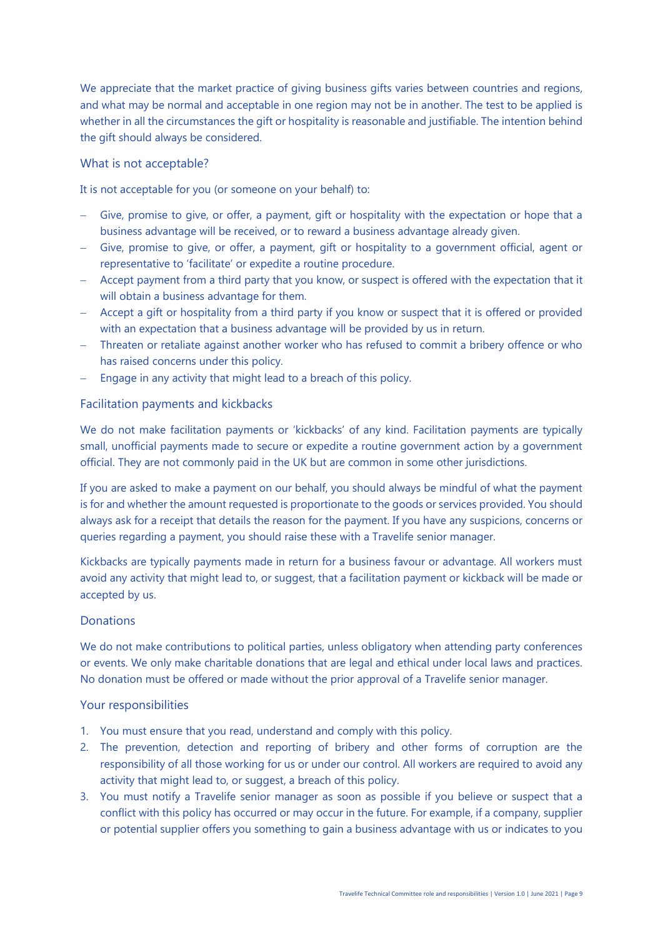We appreciate that the market practice of giving business gifts varies between countries and regions, and what may be normal and acceptable in one region may not be in another. The test to be applied is whether in all the circumstances the gift or hospitality is reasonable and justifiable. The intention behind the gift should always be considered.

### What is not acceptable?

It is not acceptable for you (or someone on your behalf) to:

- − Give, promise to give, or offer, a payment, gift or hospitality with the expectation or hope that a business advantage will be received, or to reward a business advantage already given.
- − Give, promise to give, or offer, a payment, gift or hospitality to a government official, agent or representative to 'facilitate' or expedite a routine procedure.
- − Accept payment from a third party that you know, or suspect is offered with the expectation that it will obtain a business advantage for them.
- − Accept a gift or hospitality from a third party if you know or suspect that it is offered or provided with an expectation that a business advantage will be provided by us in return.
- − Threaten or retaliate against another worker who has refused to commit a bribery offence or who has raised concerns under this policy.
- − Engage in any activity that might lead to a breach of this policy.

## Facilitation payments and kickbacks

We do not make facilitation payments or 'kickbacks' of any kind. Facilitation payments are typically small, unofficial payments made to secure or expedite a routine government action by a government official. They are not commonly paid in the UK but are common in some other jurisdictions.

If you are asked to make a payment on our behalf, you should always be mindful of what the payment is for and whether the amount requested is proportionate to the goods or services provided. You should always ask for a receipt that details the reason for the payment. If you have any suspicions, concerns or queries regarding a payment, you should raise these with a Travelife senior manager.

Kickbacks are typically payments made in return for a business favour or advantage. All workers must avoid any activity that might lead to, or suggest, that a facilitation payment or kickback will be made or accepted by us.

### **Donations**

We do not make contributions to political parties, unless obligatory when attending party conferences or events. We only make charitable donations that are legal and ethical under local laws and practices. No donation must be offered or made without the prior approval of a Travelife senior manager.

### Your responsibilities

- 1. You must ensure that you read, understand and comply with this policy.
- 2. The prevention, detection and reporting of bribery and other forms of corruption are the responsibility of all those working for us or under our control. All workers are required to avoid any activity that might lead to, or suggest, a breach of this policy.
- 3. You must notify a Travelife senior manager as soon as possible if you believe or suspect that a conflict with this policy has occurred or may occur in the future. For example, if a company, supplier or potential supplier offers you something to gain a business advantage with us or indicates to you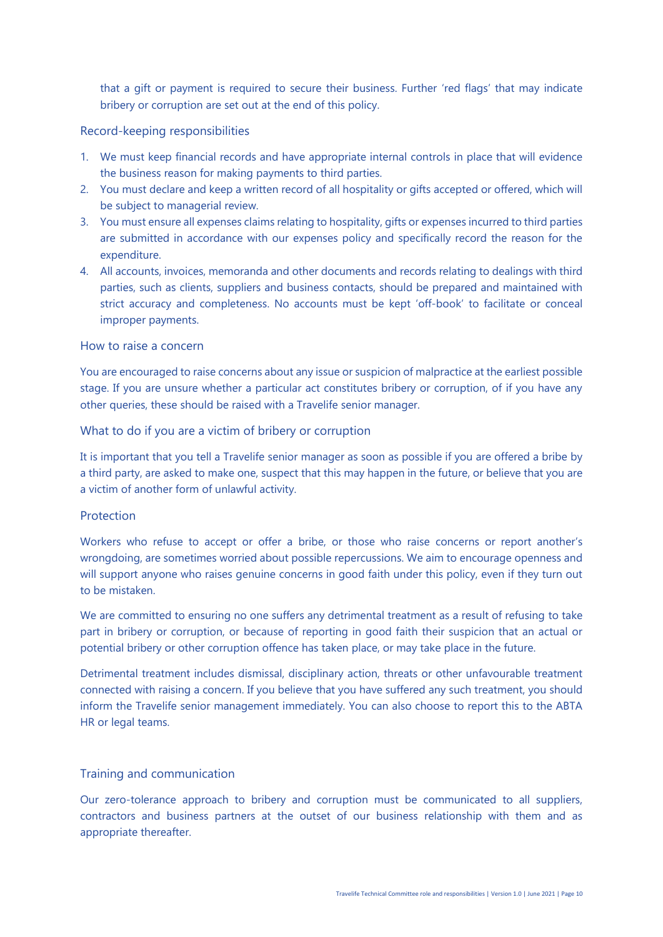that a gift or payment is required to secure their business. Further 'red flags' that may indicate bribery or corruption are set out at the end of this policy.

#### Record-keeping responsibilities

- 1. We must keep financial records and have appropriate internal controls in place that will evidence the business reason for making payments to third parties.
- 2. You must declare and keep a written record of all hospitality or gifts accepted or offered, which will be subject to managerial review.
- 3. You must ensure all expenses claims relating to hospitality, gifts or expenses incurred to third parties are submitted in accordance with our expenses policy and specifically record the reason for the expenditure.
- 4. All accounts, invoices, memoranda and other documents and records relating to dealings with third parties, such as clients, suppliers and business contacts, should be prepared and maintained with strict accuracy and completeness. No accounts must be kept 'off-book' to facilitate or conceal improper payments.

#### How to raise a concern

You are encouraged to raise concerns about any issue or suspicion of malpractice at the earliest possible stage. If you are unsure whether a particular act constitutes bribery or corruption, of if you have any other queries, these should be raised with a Travelife senior manager.

#### What to do if you are a victim of bribery or corruption

It is important that you tell a Travelife senior manager as soon as possible if you are offered a bribe by a third party, are asked to make one, suspect that this may happen in the future, or believe that you are a victim of another form of unlawful activity.

#### Protection

Workers who refuse to accept or offer a bribe, or those who raise concerns or report another's wrongdoing, are sometimes worried about possible repercussions. We aim to encourage openness and will support anyone who raises genuine concerns in good faith under this policy, even if they turn out to be mistaken.

We are committed to ensuring no one suffers any detrimental treatment as a result of refusing to take part in bribery or corruption, or because of reporting in good faith their suspicion that an actual or potential bribery or other corruption offence has taken place, or may take place in the future.

Detrimental treatment includes dismissal, disciplinary action, threats or other unfavourable treatment connected with raising a concern. If you believe that you have suffered any such treatment, you should inform the Travelife senior management immediately. You can also choose to report this to the ABTA HR or legal teams.

## Training and communication

Our zero-tolerance approach to bribery and corruption must be communicated to all suppliers, contractors and business partners at the outset of our business relationship with them and as appropriate thereafter.